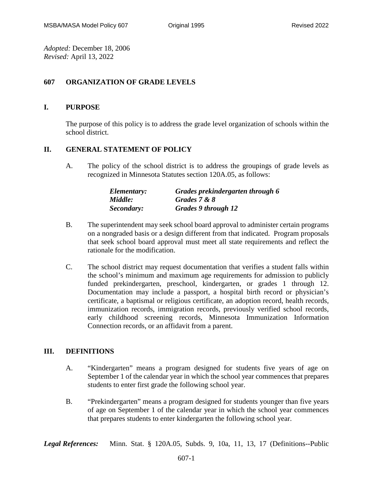*Adopted:* December 18, 2006 *Revised:* April 13, 2022

## **607 ORGANIZATION OF GRADE LEVELS**

## **I. PURPOSE**

The purpose of this policy is to address the grade level organization of schools within the school district.

## **II. GENERAL STATEMENT OF POLICY**

A. The policy of the school district is to address the groupings of grade levels as recognized in Minnesota Statutes section 120A.05, as follows:

| Elementary: | Grades prekindergarten through 6 |
|-------------|----------------------------------|
| Middle:     | Grades 7 & 8                     |
| Secondary:  | <b>Grades 9 through 12</b>       |

- B. The superintendent may seek school board approval to administer certain programs on a nongraded basis or a design different from that indicated. Program proposals that seek school board approval must meet all state requirements and reflect the rationale for the modification.
- C. The school district may request documentation that verifies a student falls within the school's minimum and maximum age requirements for admission to publicly funded prekindergarten, preschool, kindergarten, or grades 1 through 12. Documentation may include a passport, a hospital birth record or physician's certificate, a baptismal or religious certificate, an adoption record, health records, immunization records, immigration records, previously verified school records, early childhood screening records, Minnesota Immunization Information Connection records, or an affidavit from a parent.

## **III. DEFINITIONS**

- A. "Kindergarten" means a program designed for students five years of age on September 1 of the calendar year in which the school year commences that prepares students to enter first grade the following school year.
- B. "Prekindergarten" means a program designed for students younger than five years of age on September 1 of the calendar year in which the school year commences that prepares students to enter kindergarten the following school year.

*Legal References:* Minn. Stat. § 120A.05, Subds. 9, 10a, 11, 13, 17 (Definitions--Public